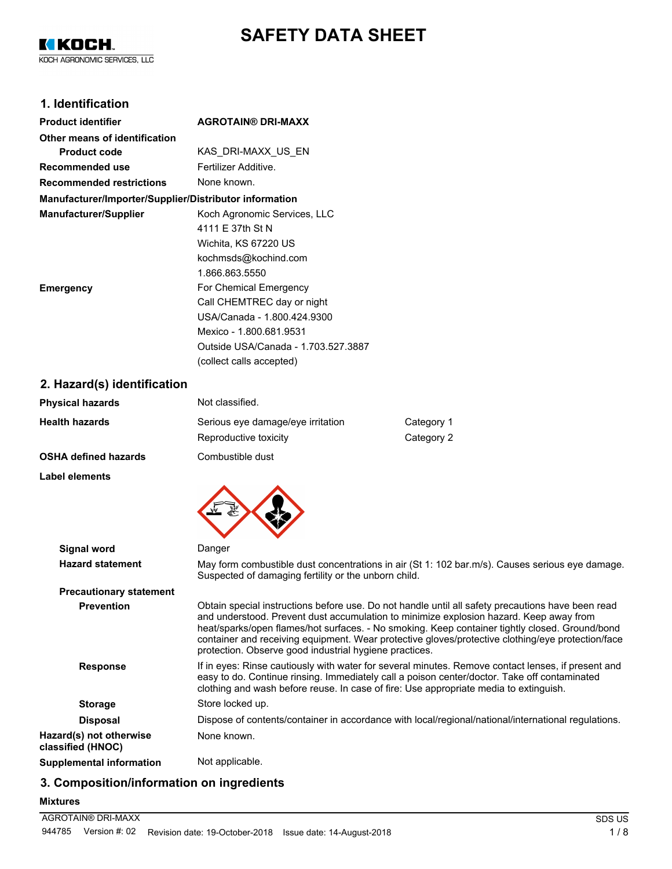# **SAFETY DATA SHEET**

KIKOCH. KOCH AGRONOMIC SERVICES, LLC

## **1. Identification**

| <b>Product identifier</b>                              | <b>AGROTAIN® DRI-MAXX</b>           |
|--------------------------------------------------------|-------------------------------------|
| Other means of identification                          |                                     |
| <b>Product code</b>                                    | KAS DRI-MAXX US EN                  |
| Recommended use                                        | Fertilizer Additive.                |
| <b>Recommended restrictions</b>                        | None known.                         |
| Manufacturer/Importer/Supplier/Distributor information |                                     |
| <b>Manufacturer/Supplier</b>                           | Koch Agronomic Services, LLC        |
|                                                        | 4111 E 37th St N                    |
|                                                        | Wichita, KS 67220 US                |
|                                                        | kochmsds@kochind.com                |
|                                                        | 1.866.863.5550                      |
| <b>Emergency</b>                                       | For Chemical Emergency              |
|                                                        | Call CHEMTREC day or night          |
|                                                        | USA/Canada - 1.800.424.9300         |
|                                                        | Mexico - 1.800.681.9531             |
|                                                        | Outside USA/Canada - 1.703.527.3887 |
|                                                        | (collect calls accepted)            |

**2. Hazard(s) identification**

| Not classified.                   |            |
|-----------------------------------|------------|
| Serious eye damage/eye irritation | Category 1 |
| Reproductive toxicity             | Category 2 |
| Combustible dust                  |            |
|                                   |            |

**Label elements**



| Signal word                                  | Danger                                                                                                                                                                                                                                                                                                                                                                                                                                                       |
|----------------------------------------------|--------------------------------------------------------------------------------------------------------------------------------------------------------------------------------------------------------------------------------------------------------------------------------------------------------------------------------------------------------------------------------------------------------------------------------------------------------------|
| <b>Hazard statement</b>                      | May form combustible dust concentrations in air (St 1: 102 bar.m/s). Causes serious eye damage.<br>Suspected of damaging fertility or the unborn child.                                                                                                                                                                                                                                                                                                      |
| <b>Precautionary statement</b>               |                                                                                                                                                                                                                                                                                                                                                                                                                                                              |
| <b>Prevention</b>                            | Obtain special instructions before use. Do not handle until all safety precautions have been read<br>and understood. Prevent dust accumulation to minimize explosion hazard. Keep away from<br>heat/sparks/open flames/hot surfaces. - No smoking. Keep container tightly closed. Ground/bond<br>container and receiving equipment. Wear protective gloves/protective clothing/eye protection/face<br>protection. Observe good industrial hygiene practices. |
| <b>Response</b>                              | If in eyes: Rinse cautiously with water for several minutes. Remove contact lenses, if present and<br>easy to do. Continue rinsing. Immediately call a poison center/doctor. Take off contaminated<br>clothing and wash before reuse. In case of fire: Use appropriate media to extinguish.                                                                                                                                                                  |
| <b>Storage</b>                               | Store locked up.                                                                                                                                                                                                                                                                                                                                                                                                                                             |
| <b>Disposal</b>                              | Dispose of contents/container in accordance with local/regional/national/international regulations.                                                                                                                                                                                                                                                                                                                                                          |
| Hazard(s) not otherwise<br>classified (HNOC) | None known.                                                                                                                                                                                                                                                                                                                                                                                                                                                  |
| <b>Supplemental information</b>              | Not applicable.                                                                                                                                                                                                                                                                                                                                                                                                                                              |
|                                              |                                                                                                                                                                                                                                                                                                                                                                                                                                                              |

# **3. Composition/information on ingredients**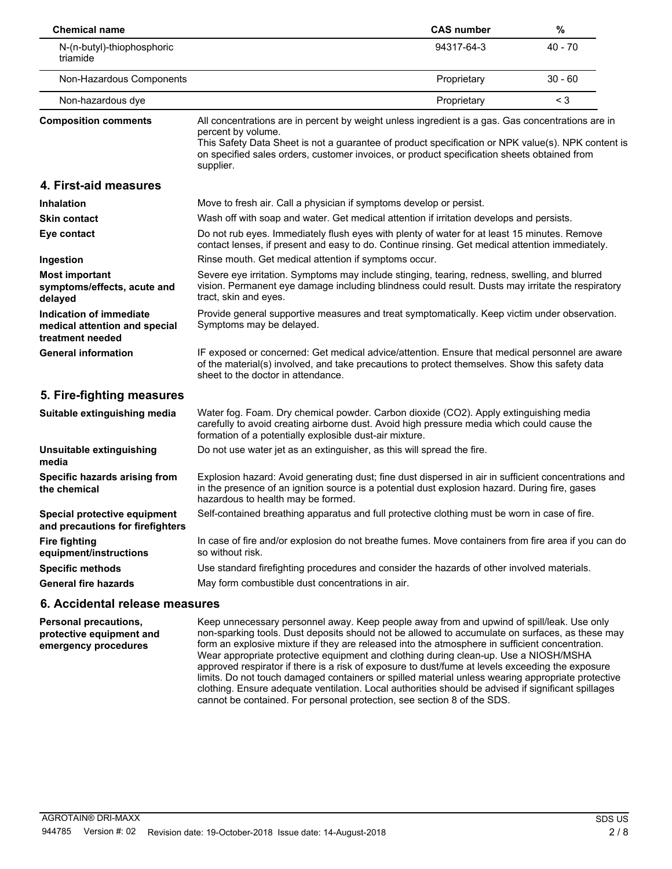| <b>Chemical name</b>                                                         |                                                                                                                                                                                                                                                                                                                                           | <b>CAS number</b> | $\%$      |
|------------------------------------------------------------------------------|-------------------------------------------------------------------------------------------------------------------------------------------------------------------------------------------------------------------------------------------------------------------------------------------------------------------------------------------|-------------------|-----------|
| N-(n-butyl)-thiophosphoric<br>triamide                                       |                                                                                                                                                                                                                                                                                                                                           | 94317-64-3        | $40 - 70$ |
| Non-Hazardous Components                                                     |                                                                                                                                                                                                                                                                                                                                           | Proprietary       | $30 - 60$ |
| Non-hazardous dye                                                            |                                                                                                                                                                                                                                                                                                                                           | Proprietary       | $<$ 3     |
| <b>Composition comments</b>                                                  | All concentrations are in percent by weight unless ingredient is a gas. Gas concentrations are in<br>percent by volume.<br>This Safety Data Sheet is not a guarantee of product specification or NPK value(s). NPK content is<br>on specified sales orders, customer invoices, or product specification sheets obtained from<br>supplier. |                   |           |
| 4. First-aid measures                                                        |                                                                                                                                                                                                                                                                                                                                           |                   |           |
| <b>Inhalation</b>                                                            | Move to fresh air. Call a physician if symptoms develop or persist.                                                                                                                                                                                                                                                                       |                   |           |
| <b>Skin contact</b>                                                          | Wash off with soap and water. Get medical attention if irritation develops and persists.                                                                                                                                                                                                                                                  |                   |           |
| Eye contact                                                                  | Do not rub eyes. Immediately flush eyes with plenty of water for at least 15 minutes. Remove<br>contact lenses, if present and easy to do. Continue rinsing. Get medical attention immediately.                                                                                                                                           |                   |           |
| Ingestion                                                                    | Rinse mouth. Get medical attention if symptoms occur.                                                                                                                                                                                                                                                                                     |                   |           |
| <b>Most important</b><br>symptoms/effects, acute and<br>delayed              | Severe eye irritation. Symptoms may include stinging, tearing, redness, swelling, and blurred<br>vision. Permanent eye damage including blindness could result. Dusts may irritate the respiratory<br>tract, skin and eyes.                                                                                                               |                   |           |
| Indication of immediate<br>medical attention and special<br>treatment needed | Provide general supportive measures and treat symptomatically. Keep victim under observation.<br>Symptoms may be delayed.                                                                                                                                                                                                                 |                   |           |
| <b>General information</b>                                                   | IF exposed or concerned: Get medical advice/attention. Ensure that medical personnel are aware<br>of the material(s) involved, and take precautions to protect themselves. Show this safety data<br>sheet to the doctor in attendance.                                                                                                    |                   |           |
| 5. Fire-fighting measures                                                    |                                                                                                                                                                                                                                                                                                                                           |                   |           |
| Suitable extinguishing media                                                 | Water fog. Foam. Dry chemical powder. Carbon dioxide (CO2). Apply extinguishing media<br>carefully to avoid creating airborne dust. Avoid high pressure media which could cause the<br>formation of a potentially explosible dust-air mixture.                                                                                            |                   |           |
| Unsuitable extinguishing<br>media                                            | Do not use water jet as an extinguisher, as this will spread the fire.                                                                                                                                                                                                                                                                    |                   |           |
| Specific hazards arising from<br>the chemical                                | Explosion hazard: Avoid generating dust; fine dust dispersed in air in sufficient concentrations and<br>in the presence of an ignition source is a potential dust explosion hazard. During fire, gases<br>hazardous to health may be formed.                                                                                              |                   |           |
| Special protective equipment<br>and precautions for firefighters             | Self-contained breathing apparatus and full protective clothing must be worn in case of fire.                                                                                                                                                                                                                                             |                   |           |
| <b>Fire fighting</b><br>equipment/instructions                               | In case of fire and/or explosion do not breathe fumes. Move containers from fire area if you can do<br>so without risk.                                                                                                                                                                                                                   |                   |           |
| <b>Specific methods</b>                                                      | Use standard firefighting procedures and consider the hazards of other involved materials.                                                                                                                                                                                                                                                |                   |           |
| <b>General fire hazards</b>                                                  | May form combustible dust concentrations in air.                                                                                                                                                                                                                                                                                          |                   |           |

## **6. Accidental release measures**

**Personal precautions, protective equipment and emergency procedures**

Keep unnecessary personnel away. Keep people away from and upwind of spill/leak. Use only non-sparking tools. Dust deposits should not be allowed to accumulate on surfaces, as these may form an explosive mixture if they are released into the atmosphere in sufficient concentration. Wear appropriate protective equipment and clothing during clean-up. Use a NIOSH/MSHA approved respirator if there is a risk of exposure to dust/fume at levels exceeding the exposure limits. Do not touch damaged containers or spilled material unless wearing appropriate protective clothing. Ensure adequate ventilation. Local authorities should be advised if significant spillages cannot be contained. For personal protection, see section 8 of the SDS.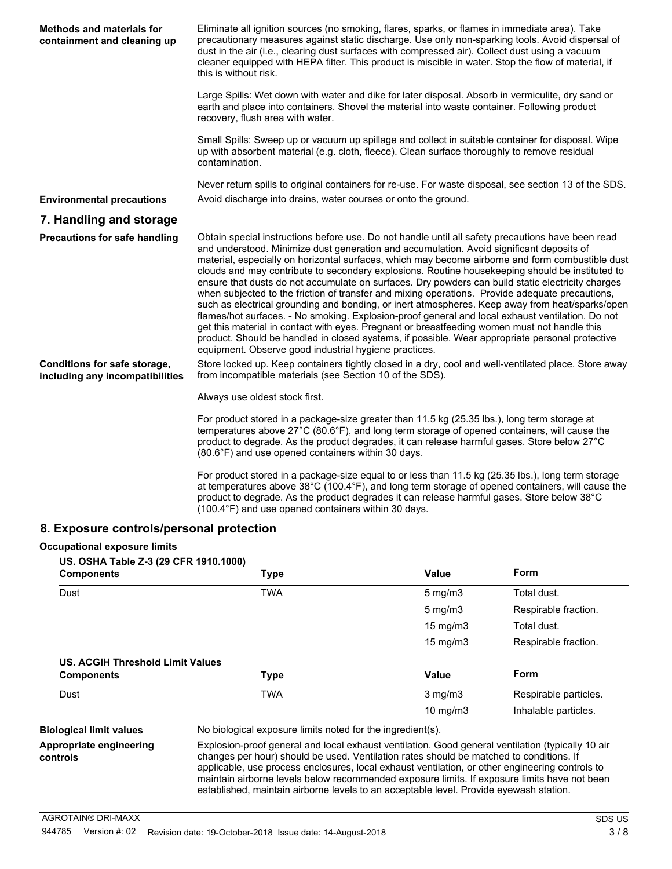| <b>Methods and materials for</b><br>containment and cleaning up | Eliminate all ignition sources (no smoking, flares, sparks, or flames in immediate area). Take<br>precautionary measures against static discharge. Use only non-sparking tools. Avoid dispersal of<br>dust in the air (i.e., clearing dust surfaces with compressed air). Collect dust using a vacuum<br>cleaner equipped with HEPA filter. This product is miscible in water. Stop the flow of material, if<br>this is without risk.                                                                                                                                                                                                                                                                                                                                                                                                                                                                                                                                                                                                                                           |
|-----------------------------------------------------------------|---------------------------------------------------------------------------------------------------------------------------------------------------------------------------------------------------------------------------------------------------------------------------------------------------------------------------------------------------------------------------------------------------------------------------------------------------------------------------------------------------------------------------------------------------------------------------------------------------------------------------------------------------------------------------------------------------------------------------------------------------------------------------------------------------------------------------------------------------------------------------------------------------------------------------------------------------------------------------------------------------------------------------------------------------------------------------------|
|                                                                 | Large Spills: Wet down with water and dike for later disposal. Absorb in vermiculite, dry sand or<br>earth and place into containers. Shovel the material into waste container. Following product<br>recovery, flush area with water.                                                                                                                                                                                                                                                                                                                                                                                                                                                                                                                                                                                                                                                                                                                                                                                                                                           |
|                                                                 | Small Spills: Sweep up or vacuum up spillage and collect in suitable container for disposal. Wipe<br>up with absorbent material (e.g. cloth, fleece). Clean surface thoroughly to remove residual<br>contamination.                                                                                                                                                                                                                                                                                                                                                                                                                                                                                                                                                                                                                                                                                                                                                                                                                                                             |
|                                                                 | Never return spills to original containers for re-use. For waste disposal, see section 13 of the SDS.                                                                                                                                                                                                                                                                                                                                                                                                                                                                                                                                                                                                                                                                                                                                                                                                                                                                                                                                                                           |
| <b>Environmental precautions</b>                                | Avoid discharge into drains, water courses or onto the ground.                                                                                                                                                                                                                                                                                                                                                                                                                                                                                                                                                                                                                                                                                                                                                                                                                                                                                                                                                                                                                  |
| 7. Handling and storage                                         |                                                                                                                                                                                                                                                                                                                                                                                                                                                                                                                                                                                                                                                                                                                                                                                                                                                                                                                                                                                                                                                                                 |
| <b>Precautions for safe handling</b>                            | Obtain special instructions before use. Do not handle until all safety precautions have been read<br>and understood. Minimize dust generation and accumulation. Avoid significant deposits of<br>material, especially on horizontal surfaces, which may become airborne and form combustible dust<br>clouds and may contribute to secondary explosions. Routine housekeeping should be instituted to<br>ensure that dusts do not accumulate on surfaces. Dry powders can build static electricity charges<br>when subjected to the friction of transfer and mixing operations. Provide adequate precautions,<br>such as electrical grounding and bonding, or inert atmospheres. Keep away from heat/sparks/open<br>flames/hot surfaces. - No smoking. Explosion-proof general and local exhaust ventilation. Do not<br>get this material in contact with eyes. Pregnant or breastfeeding women must not handle this<br>product. Should be handled in closed systems, if possible. Wear appropriate personal protective<br>equipment. Observe good industrial hygiene practices. |
| Conditions for safe storage,<br>including any incompatibilities | Store locked up. Keep containers tightly closed in a dry, cool and well-ventilated place. Store away<br>from incompatible materials (see Section 10 of the SDS).                                                                                                                                                                                                                                                                                                                                                                                                                                                                                                                                                                                                                                                                                                                                                                                                                                                                                                                |
|                                                                 | Always use oldest stock first.                                                                                                                                                                                                                                                                                                                                                                                                                                                                                                                                                                                                                                                                                                                                                                                                                                                                                                                                                                                                                                                  |
|                                                                 | For product stored in a package-size greater than 11.5 kg (25.35 lbs.), long term storage at<br>temperatures above 27°C (80.6°F), and long term storage of opened containers, will cause the<br>product to degrade. As the product degrades, it can release harmful gases. Store below 27°C<br>(80.6°F) and use opened containers within 30 days.                                                                                                                                                                                                                                                                                                                                                                                                                                                                                                                                                                                                                                                                                                                               |
|                                                                 | For product stored in a package-size equal to or less than 11.5 kg (25.35 lbs.), long term storage<br>at temperatures above $38^{\circ}$ C (100.4 $^{\circ}$ F), and long term storage of opened containers, will cause the<br>product to degrade. As the product degrades it can release harmful gases. Store below 38°C                                                                                                                                                                                                                                                                                                                                                                                                                                                                                                                                                                                                                                                                                                                                                       |

## **8. Exposure controls/personal protection**

## **Occupational exposure limits**

**controls**

| US. OSHA Table Z-3 (29 CFR 1910.1000)<br><b>Components</b> | Type                                                                                              | Value             | Form                  |
|------------------------------------------------------------|---------------------------------------------------------------------------------------------------|-------------------|-----------------------|
| Dust                                                       | <b>TWA</b>                                                                                        | $5 \text{ mg/m}$  | Total dust.           |
|                                                            |                                                                                                   | $5 \text{ mg/m}$  | Respirable fraction.  |
|                                                            |                                                                                                   | $15 \text{ mg/m}$ | Total dust.           |
|                                                            |                                                                                                   | $15 \text{ mg/m}$ | Respirable fraction.  |
| US. ACGIH Threshold Limit Values<br><b>Components</b>      | <b>Type</b>                                                                                       | Value             | Form                  |
| Dust                                                       | <b>TWA</b>                                                                                        | $3$ mg/m $3$      | Respirable particles. |
|                                                            |                                                                                                   | $10 \text{ mg/m}$ | Inhalable particles.  |
| <b>Biological limit values</b>                             | No biological exposure limits noted for the ingredient(s).                                        |                   |                       |
| Appropriate engineering                                    | Explosion-proof general and local exhaust ventilation. Good general ventilation (typically 10 air |                   |                       |

(100.4°F) and use opened containers within 30 days.

#### Explosion-proof general and local exhaust ventilation. Good general ventilation (typically 10 air changes per hour) should be used. Ventilation rates should be matched to conditions. If applicable, use process enclosures, local exhaust ventilation, or other engineering controls to maintain airborne levels below recommended exposure limits. If exposure limits have not been established, maintain airborne levels to an acceptable level. Provide eyewash station.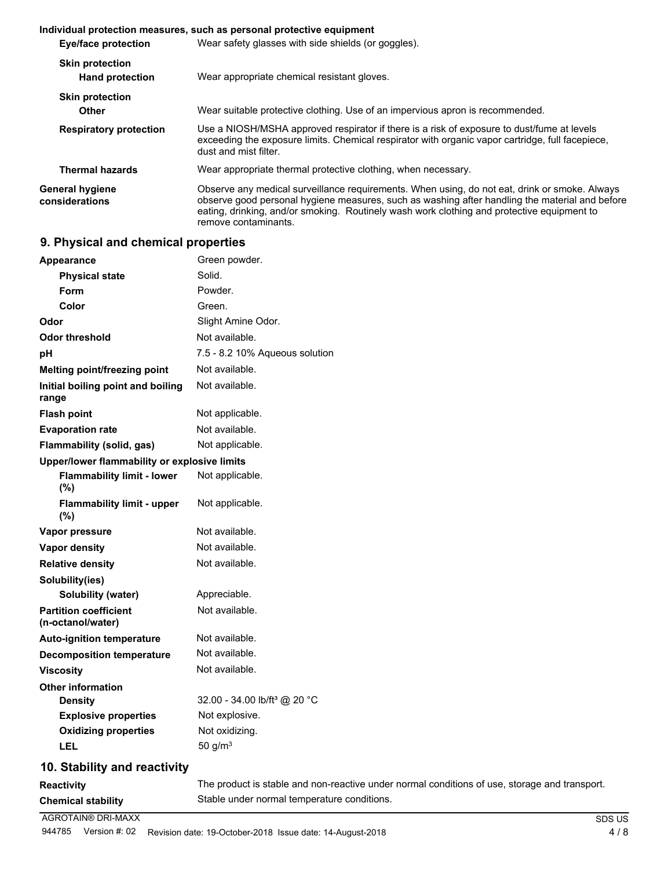|                                                  | Individual protection measures, such as personal protective equipment                                                                                                                                                                                                                                                 |  |  |
|--------------------------------------------------|-----------------------------------------------------------------------------------------------------------------------------------------------------------------------------------------------------------------------------------------------------------------------------------------------------------------------|--|--|
| Eye/face protection                              | Wear safety glasses with side shields (or goggles).                                                                                                                                                                                                                                                                   |  |  |
| <b>Skin protection</b><br><b>Hand protection</b> | Wear appropriate chemical resistant gloves.                                                                                                                                                                                                                                                                           |  |  |
| <b>Skin protection</b><br>Other                  | Wear suitable protective clothing. Use of an impervious apron is recommended.                                                                                                                                                                                                                                         |  |  |
| <b>Respiratory protection</b>                    | Use a NIOSH/MSHA approved respirator if there is a risk of exposure to dust/fume at levels<br>exceeding the exposure limits. Chemical respirator with organic vapor cartridge, full facepiece,<br>dust and mist filter.                                                                                               |  |  |
| <b>Thermal hazards</b>                           | Wear appropriate thermal protective clothing, when necessary.                                                                                                                                                                                                                                                         |  |  |
| General hygiene<br>considerations                | Observe any medical surveillance requirements. When using, do not eat, drink or smoke. Always<br>observe good personal hygiene measures, such as washing after handling the material and before<br>eating, drinking, and/or smoking. Routinely wash work clothing and protective equipment to<br>remove contaminants. |  |  |

## **9. Physical and chemical properties**

| <b>AGROTAIN® DRI-MAXX</b>                         | <b>SDS US</b>                                                                                 |
|---------------------------------------------------|-----------------------------------------------------------------------------------------------|
| <b>Chemical stability</b>                         | Stable under normal temperature conditions.                                                   |
| <b>Reactivity</b>                                 | The product is stable and non-reactive under normal conditions of use, storage and transport. |
| 10. Stability and reactivity                      |                                                                                               |
| <b>LEL</b>                                        | 50 g/ $m3$                                                                                    |
| <b>Oxidizing properties</b>                       | Not oxidizing.                                                                                |
| <b>Explosive properties</b>                       | Not explosive.                                                                                |
| <b>Density</b>                                    | 32.00 - 34.00 lb/ft <sup>3</sup> @ 20 °C                                                      |
| <b>Other information</b>                          |                                                                                               |
| <b>Viscosity</b>                                  | Not available.                                                                                |
| <b>Decomposition temperature</b>                  | Not available.                                                                                |
| <b>Auto-ignition temperature</b>                  | Not available.                                                                                |
| <b>Partition coefficient</b><br>(n-octanol/water) | Not available.                                                                                |
| Solubility (water)                                | Appreciable.                                                                                  |
| Solubility(ies)                                   |                                                                                               |
| <b>Relative density</b>                           | Not available.                                                                                |
| <b>Vapor density</b>                              | Not available.                                                                                |
| Vapor pressure                                    | Not available.                                                                                |
| <b>Flammability limit - upper</b><br>(%)          | Not applicable.                                                                               |
| <b>Flammability limit - lower</b><br>(%)          | Not applicable.                                                                               |
| Upper/lower flammability or explosive limits      |                                                                                               |
| Flammability (solid, gas)                         | Not applicable.                                                                               |
| <b>Evaporation rate</b>                           | Not available.                                                                                |
| <b>Flash point</b>                                | Not applicable.                                                                               |
| Initial boiling point and boiling<br>range        | Not available.                                                                                |
| Melting point/freezing point                      | Not available.                                                                                |
| рH                                                | 7.5 - 8.2 10% Aqueous solution                                                                |
| <b>Odor threshold</b>                             | Not available.                                                                                |
| Odor                                              | Slight Amine Odor.                                                                            |
| Color                                             | Green.                                                                                        |
| <b>Form</b>                                       | Powder.                                                                                       |
| <b>Physical state</b>                             | Solid.                                                                                        |
| <b>Appearance</b>                                 | Green powder.                                                                                 |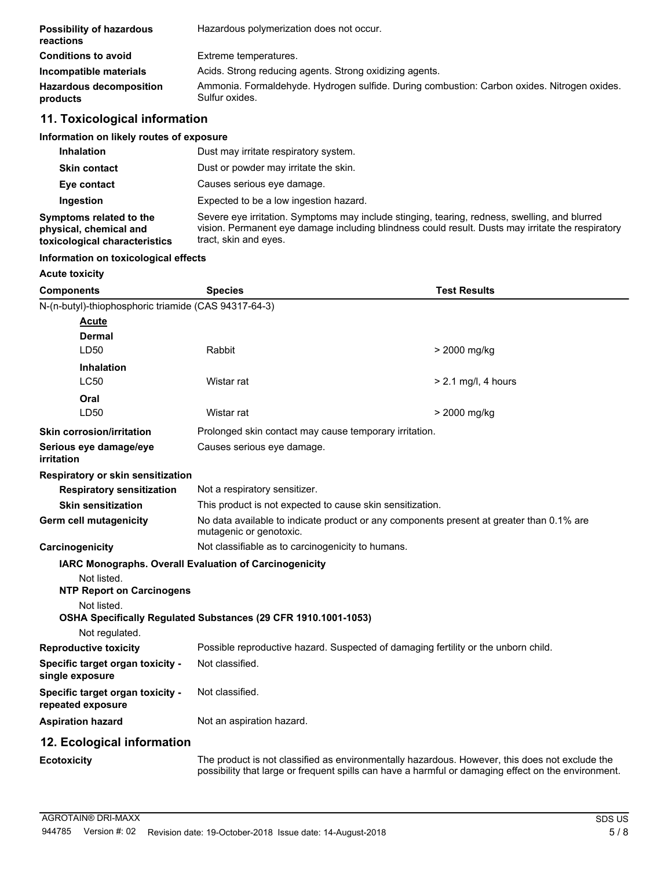| <b>Possibility of hazardous</b><br>reactions | Hazardous polymerization does not occur.                                                                      |
|----------------------------------------------|---------------------------------------------------------------------------------------------------------------|
| <b>Conditions to avoid</b>                   | Extreme temperatures.                                                                                         |
| Incompatible materials                       | Acids. Strong reducing agents. Strong oxidizing agents.                                                       |
| <b>Hazardous decomposition</b><br>products   | Ammonia. Formaldehyde. Hydrogen sulfide. During combustion: Carbon oxides. Nitrogen oxides.<br>Sulfur oxides. |

# **11. Toxicological information**

## **Information on likely routes of exposure**

| <b>Inhalation</b>                                                                  | Dust may irritate respiratory system.                                                                                                                                                                                       |
|------------------------------------------------------------------------------------|-----------------------------------------------------------------------------------------------------------------------------------------------------------------------------------------------------------------------------|
| <b>Skin contact</b>                                                                | Dust or powder may irritate the skin.                                                                                                                                                                                       |
| Eye contact                                                                        | Causes serious eye damage.                                                                                                                                                                                                  |
| Ingestion                                                                          | Expected to be a low ingestion hazard.                                                                                                                                                                                      |
| Symptoms related to the<br>physical, chemical and<br>toxicological characteristics | Severe eye irritation. Symptoms may include stinging, tearing, redness, swelling, and blurred<br>vision. Permanent eye damage including blindness could result. Dusts may irritate the respiratory<br>tract, skin and eyes. |

#### **Information on toxicological effects**

#### **Acute toxicity**

| <b>Components</b>                                     | <b>Species</b>                                                                                                                                                                                        | <b>Test Results</b>   |  |
|-------------------------------------------------------|-------------------------------------------------------------------------------------------------------------------------------------------------------------------------------------------------------|-----------------------|--|
| N-(n-butyl)-thiophosphoric triamide (CAS 94317-64-3)  |                                                                                                                                                                                                       |                       |  |
| <b>Acute</b>                                          |                                                                                                                                                                                                       |                       |  |
| <b>Dermal</b>                                         |                                                                                                                                                                                                       |                       |  |
| LD50                                                  | Rabbit                                                                                                                                                                                                | > 2000 mg/kg          |  |
| <b>Inhalation</b>                                     |                                                                                                                                                                                                       |                       |  |
| LC50                                                  | Wistar rat                                                                                                                                                                                            | $> 2.1$ mg/l, 4 hours |  |
| Oral                                                  |                                                                                                                                                                                                       |                       |  |
| LD <sub>50</sub>                                      | Wistar rat                                                                                                                                                                                            | > 2000 mg/kg          |  |
| <b>Skin corrosion/irritation</b>                      | Prolonged skin contact may cause temporary irritation.                                                                                                                                                |                       |  |
| Serious eye damage/eye<br>irritation                  | Causes serious eye damage.                                                                                                                                                                            |                       |  |
| <b>Respiratory or skin sensitization</b>              |                                                                                                                                                                                                       |                       |  |
| <b>Respiratory sensitization</b>                      | Not a respiratory sensitizer.                                                                                                                                                                         |                       |  |
| <b>Skin sensitization</b>                             | This product is not expected to cause skin sensitization.                                                                                                                                             |                       |  |
| Germ cell mutagenicity                                | No data available to indicate product or any components present at greater than 0.1% are<br>mutagenic or genotoxic.                                                                                   |                       |  |
| Carcinogenicity                                       | Not classifiable as to carcinogenicity to humans.                                                                                                                                                     |                       |  |
|                                                       | <b>IARC Monographs. Overall Evaluation of Carcinogenicity</b>                                                                                                                                         |                       |  |
| Not listed.                                           |                                                                                                                                                                                                       |                       |  |
| <b>NTP Report on Carcinogens</b>                      |                                                                                                                                                                                                       |                       |  |
| Not listed.                                           |                                                                                                                                                                                                       |                       |  |
| Not regulated.                                        | OSHA Specifically Regulated Substances (29 CFR 1910.1001-1053)                                                                                                                                        |                       |  |
| <b>Reproductive toxicity</b>                          | Possible reproductive hazard. Suspected of damaging fertility or the unborn child.                                                                                                                    |                       |  |
| Specific target organ toxicity -                      | Not classified.                                                                                                                                                                                       |                       |  |
| single exposure                                       |                                                                                                                                                                                                       |                       |  |
| Specific target organ toxicity -<br>repeated exposure | Not classified.                                                                                                                                                                                       |                       |  |
| <b>Aspiration hazard</b>                              | Not an aspiration hazard.                                                                                                                                                                             |                       |  |
| 12. Ecological information                            |                                                                                                                                                                                                       |                       |  |
| <b>Ecotoxicity</b>                                    | The product is not classified as environmentally hazardous. However, this does not exclude the<br>possibility that large or frequent spills can have a harmful or damaging effect on the environment. |                       |  |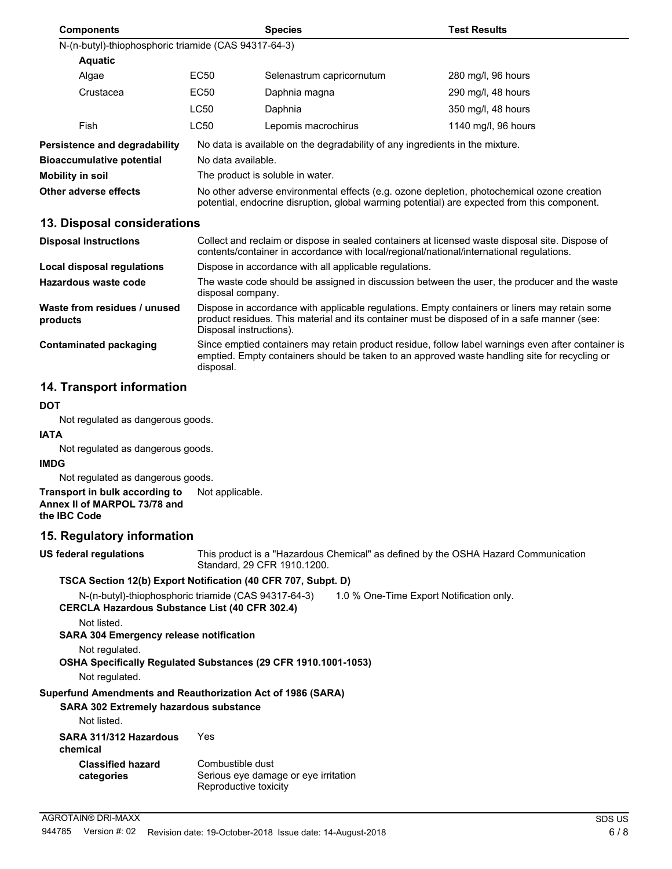| <b>Components</b>                                    |                  | <b>Species</b>                                                                                                                                                                             | <b>Test Results</b> |
|------------------------------------------------------|------------------|--------------------------------------------------------------------------------------------------------------------------------------------------------------------------------------------|---------------------|
| N-(n-butyl)-thiophosphoric triamide (CAS 94317-64-3) |                  |                                                                                                                                                                                            |                     |
| <b>Aquatic</b>                                       |                  |                                                                                                                                                                                            |                     |
| Algae                                                | EC <sub>50</sub> | Selenastrum capricornutum                                                                                                                                                                  | 280 mg/l, 96 hours  |
| Crustacea                                            | EC50             | Daphnia magna                                                                                                                                                                              | 290 mg/l, 48 hours  |
|                                                      | <b>LC50</b>      | Daphnia                                                                                                                                                                                    | 350 mg/l, 48 hours  |
| Fish                                                 | <b>LC50</b>      | Lepomis macrochirus                                                                                                                                                                        | 1140 mg/l, 96 hours |
| <b>Persistence and degradability</b>                 |                  | No data is available on the degradability of any ingredients in the mixture.                                                                                                               |                     |
| <b>Bioaccumulative potential</b>                     |                  | No data available.                                                                                                                                                                         |                     |
| Mobility in soil                                     |                  | The product is soluble in water.                                                                                                                                                           |                     |
| Other adverse effects                                |                  | No other adverse environmental effects (e.g. ozone depletion, photochemical ozone creation<br>potential, endocrine disruption, global warming potential) are expected from this component. |                     |
|                                                      |                  |                                                                                                                                                                                            |                     |

#### **13. Disposal considerations**

| <b>Disposal instructions</b>             | Collect and reclaim or dispose in sealed containers at licensed waste disposal site. Dispose of<br>contents/container in accordance with local/regional/national/international regulations.                              |
|------------------------------------------|--------------------------------------------------------------------------------------------------------------------------------------------------------------------------------------------------------------------------|
| Local disposal regulations               | Dispose in accordance with all applicable regulations.                                                                                                                                                                   |
| Hazardous waste code                     | The waste code should be assigned in discussion between the user, the producer and the waste<br>disposal company.                                                                                                        |
| Waste from residues / unused<br>products | Dispose in accordance with applicable regulations. Empty containers or liners may retain some<br>product residues. This material and its container must be disposed of in a safe manner (see:<br>Disposal instructions). |
| Contaminated packaging                   | Since emptied containers may retain product residue, follow label warnings even after container is<br>emptied. Empty containers should be taken to an approved waste handling site for recycling or<br>disposal.         |

## **14. Transport information**

## **DOT**

Not regulated as dangerous goods.

# **IATA**

Not regulated as dangerous goods.

#### **IMDG**

Not regulated as dangerous goods.

#### **Transport in bulk according to** Not applicable. **Annex II of MARPOL 73/78 and the IBC Code**

## **15. Regulatory information**

This product is a "Hazardous Chemical" as defined by the OSHA Hazard Communication Standard, 29 CFR 1910.1200. **US federal regulations**

## **TSCA Section 12(b) Export Notification (40 CFR 707, Subpt. D)**

N-(n-butyl)-thiophosphoric triamide (CAS 94317-64-3) 1.0 % One-Time Export Notification only.

**CERCLA Hazardous Substance List (40 CFR 302.4)**

Not listed.

**SARA 304 Emergency release notification**

## Not regulated.

**OSHA Specifically Regulated Substances (29 CFR 1910.1001-1053)**

Not regulated.

## **Superfund Amendments and Reauthorization Act of 1986 (SARA)**

## **SARA 302 Extremely hazardous substance**

Not listed.

| SARA 311/312 Hazardous<br>chemical     | Yes                                                                               |
|----------------------------------------|-----------------------------------------------------------------------------------|
| <b>Classified hazard</b><br>categories | Combustible dust<br>Serious eye damage or eye irritation<br>Reproductive toxicity |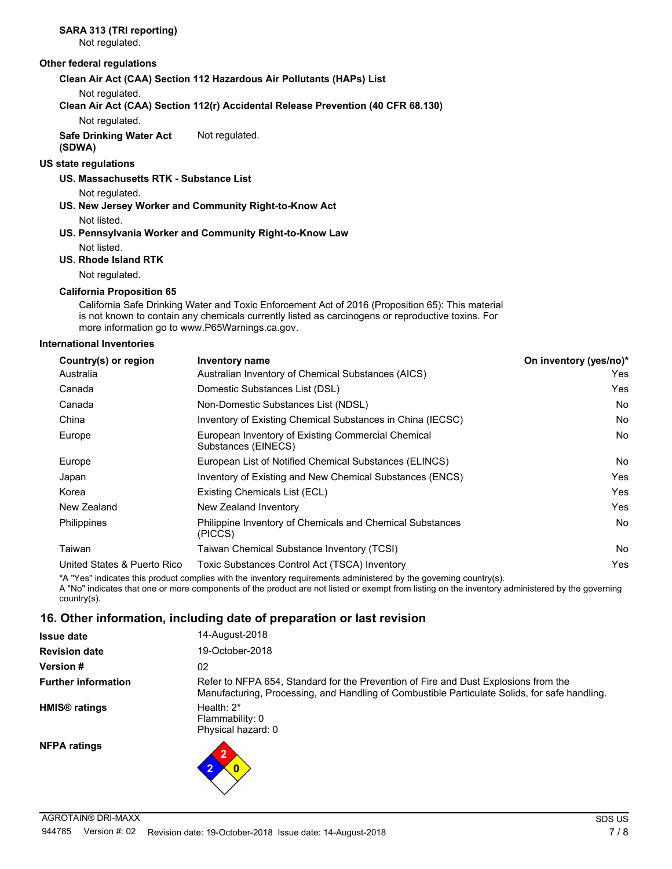# **SARA 313 (TRI reporting)**

Not regulated.

#### **Other federal regulations**

**Clean Air Act (CAA) Section 112 Hazardous Air Pollutants (HAPs) List**

Not regulated.

**Clean Air Act (CAA) Section 112(r) Accidental Release Prevention (40 CFR 68.130)**

Not regulated.

**Safe Drinking Water Act** Not regulated.

**(SDWA)**

## **US state regulations**

#### **US. Massachusetts RTK - Substance List**

Not regulated.

- **US. New Jersey Worker and Community Right-to-Know Act** Not listed.
- **US. Pennsylvania Worker and Community Right-to-Know Law** Not listed.

#### **US. Rhode Island RTK**

Not regulated.

#### **California Proposition 65**

California Safe Drinking Water and Toxic Enforcement Act of 2016 (Proposition 65): This material is not known to contain any chemicals currently listed as carcinogens or reproductive toxins. For more information go to www.P65Warnings.ca.gov.

#### **International Inventories**

| Country(s) or region        | <b>Inventory name</b>                                                     | On inventory (yes/no)* |
|-----------------------------|---------------------------------------------------------------------------|------------------------|
| Australia                   | Australian Inventory of Chemical Substances (AICS)                        | Yes                    |
| Canada                      | Domestic Substances List (DSL)                                            | Yes                    |
| Canada                      | Non-Domestic Substances List (NDSL)                                       | <b>No</b>              |
| China                       | Inventory of Existing Chemical Substances in China (IECSC)                | No.                    |
| Europe                      | European Inventory of Existing Commercial Chemical<br>Substances (EINECS) | No.                    |
| Europe                      | European List of Notified Chemical Substances (ELINCS)                    | No.                    |
| Japan                       | Inventory of Existing and New Chemical Substances (ENCS)                  | Yes                    |
| Korea                       | Existing Chemicals List (ECL)                                             | Yes                    |
| New Zealand                 | New Zealand Inventory                                                     | Yes                    |
| Philippines                 | Philippine Inventory of Chemicals and Chemical Substances<br>(PICCS)      | <b>No</b>              |
| Taiwan                      | Taiwan Chemical Substance Inventory (TCSI)                                | No.                    |
| United States & Puerto Rico | Toxic Substances Control Act (TSCA) Inventory                             | Yes                    |
|                             |                                                                           |                        |

\*A "Yes" indicates this product complies with the inventory requirements administered by the governing country(s). A "No" indicates that one or more components of the product are not listed or exempt from listing on the inventory administered by the governing country(s).

## **16. Other information, including date of preparation or last revision**

| <b>Issue date</b>               | 14-August-2018                                                                                                                                                                       |
|---------------------------------|--------------------------------------------------------------------------------------------------------------------------------------------------------------------------------------|
| <b>Revision date</b>            | 19-October-2018                                                                                                                                                                      |
| <b>Version #</b>                | 02                                                                                                                                                                                   |
| <b>Further information</b>      | Refer to NFPA 654, Standard for the Prevention of Fire and Dust Explosions from the<br>Manufacturing, Processing, and Handling of Combustible Particulate Solids, for safe handling. |
| <b>HMIS<sup>®</sup></b> ratings | Health: $2^*$<br>Flammability: 0<br>Physical hazard: 0                                                                                                                               |
| <b>NFPA ratings</b>             | າ<br>$\bullet$                                                                                                                                                                       |